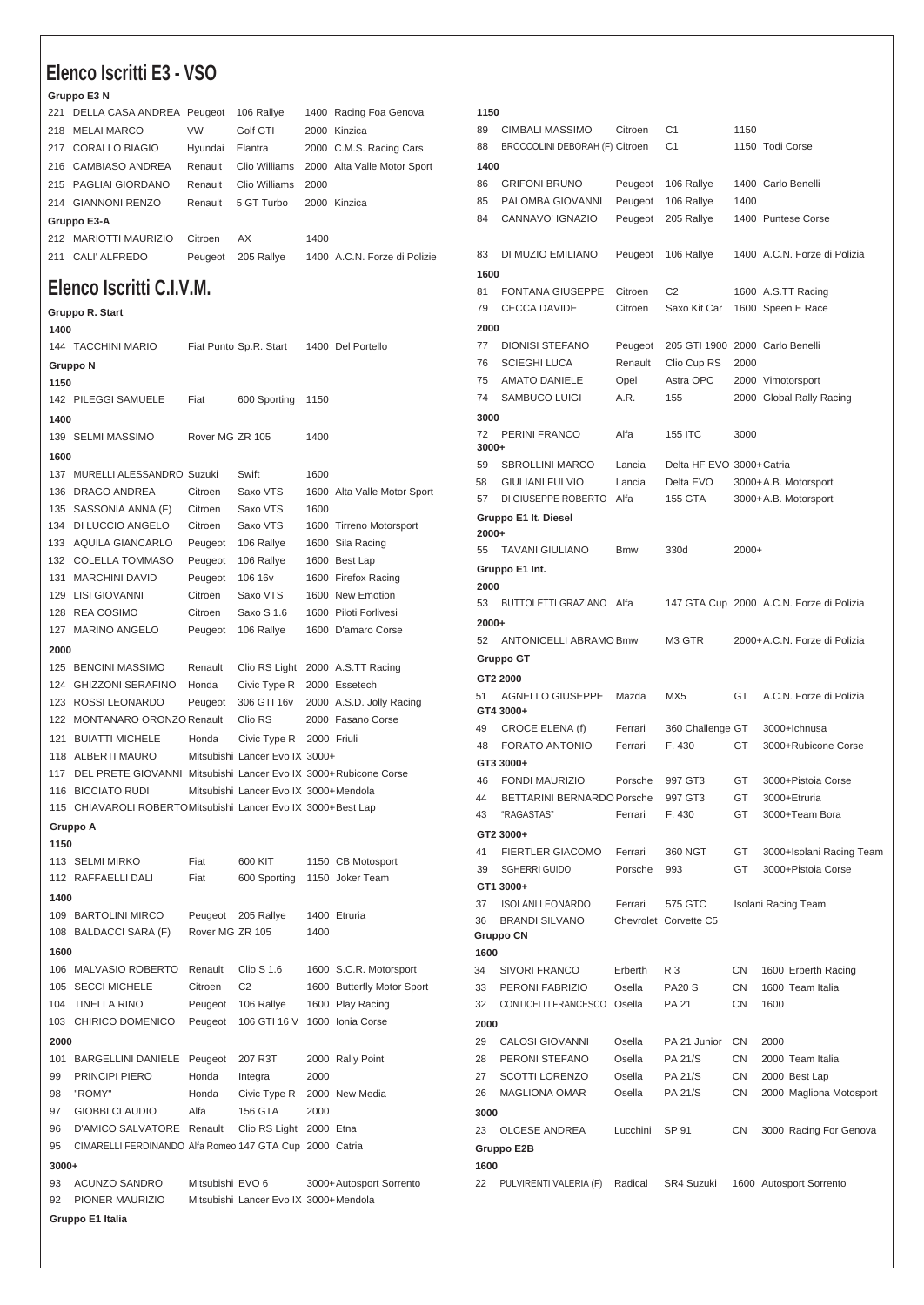## **Elenco Iscritti E3 - VSO**

## **Gruppo E3 N**

**Gruppo R. Start**

|             | 221 DELLA CASA ANDREA Peugeot |           | 106 Rallye    |      | 1400 Racing Foa Genova       |  |  |
|-------------|-------------------------------|-----------|---------------|------|------------------------------|--|--|
|             | 218 MELAI MARCO               | <b>VW</b> | Golf GTI      |      | 2000 Kinzica                 |  |  |
|             | 217 CORALLO BIAGIO            | Hyundai   | Elantra       |      | 2000 C.M.S. Racing Cars      |  |  |
|             | 216 CAMBIASO ANDREA           | Renault   | Clio Williams |      | 2000 Alta Valle Motor Sport  |  |  |
|             | 215 PAGLIAI GIORDANO          | Renault   | Clio Williams | 2000 |                              |  |  |
|             | 214 GIANNONI RENZO            | Renault   | 5 GT Turbo    |      | 2000 Kinzica                 |  |  |
| Gruppo E3-A |                               |           |               |      |                              |  |  |
|             | 212 MARIOTTI MAURIZIO         | Citroen   | AX            | 1400 |                              |  |  |
|             | 211 CALI' ALFREDO             | Peugeot   | 205 Rallve    |      | 1400 A.C.N. Forze di Polizie |  |  |
|             |                               |           |               |      |                              |  |  |

## **Elenco Iscritti C.I.V.M.**

| 1400    |                                                                 |                  |                                       |             |                                      |  |
|---------|-----------------------------------------------------------------|------------------|---------------------------------------|-------------|--------------------------------------|--|
|         | 144 TACCHINI MARIO                                              |                  | Fiat Punto Sp.R. Start                |             | 1400 Del Portello                    |  |
|         | Gruppo N                                                        |                  |                                       |             |                                      |  |
| 1150    |                                                                 |                  |                                       |             |                                      |  |
|         | 142 PILEGGI SAMUELE                                             | Fiat             | 600 Sporting                          | 1150        |                                      |  |
| 1400    |                                                                 |                  |                                       |             |                                      |  |
|         | 139 SELMI MASSIMO                                               | Rover MG ZR 105  |                                       | 1400        |                                      |  |
|         |                                                                 |                  |                                       |             |                                      |  |
| 1600    |                                                                 |                  |                                       |             |                                      |  |
|         | 137 MURELLI ALESSANDRO Suzuki                                   |                  | Swift                                 | 1600        |                                      |  |
|         | 136 DRAGO ANDREA                                                | Citroen          | Saxo VTS                              |             | 1600 Alta Valle Motor Sport          |  |
|         | 135 SASSONIA ANNA (F)                                           | Citroen          | Saxo VTS                              | 1600        |                                      |  |
|         | 134 DI LUCCIO ANGELO                                            | Citroen          | Saxo VTS                              |             | 1600 Tirreno Motorsport              |  |
|         | 133 AQUILA GIANCARLO                                            | Peugeot          | 106 Rallye                            |             | 1600 Sila Racing                     |  |
|         | 132 COLELLA TOMMASO                                             | Peugeot          | 106 Rallye                            |             | 1600 Best Lap                        |  |
|         | 131 MARCHINI DAVID                                              | Peugeot          | 106 16 <sub>v</sub>                   |             | 1600 Firefox Racing                  |  |
|         | 129 LISI GIOVANNI                                               | Citroen          | Saxo VTS                              |             | 1600 New Emotion                     |  |
|         | 128 REA COSIMO                                                  | Citroen          | Saxo S 1.6                            |             | 1600 Piloti Forlivesi                |  |
|         | 127 MARINO ANGELO                                               | Peugeot          | 106 Rallye                            |             | 1600 D'amaro Corse                   |  |
| 2000    |                                                                 |                  |                                       |             |                                      |  |
|         | 125 BENCINI MASSIMO                                             | Renault          |                                       |             | Clio RS Light 2000 A.S.TT Racing     |  |
|         | 124 GHIZZONI SERAFINO                                           | Honda            | Civic Type R                          |             | 2000 Essetech                        |  |
|         | 123 ROSSI LEONARDO                                              | Peugeot          | 306 GTI 16v                           |             | 2000 A.S.D. Jolly Racing             |  |
|         | 122 MONTANARO ORONZO Renault                                    |                  | Clio RS                               |             | 2000 Fasano Corse                    |  |
|         | 121 BUIATTI MICHELE                                             | Honda            | Civic Type R                          | 2000 Friuli |                                      |  |
|         | 118 ALBERTI MAURO                                               |                  | Mitsubishi Lancer Evo IX 3000+        |             |                                      |  |
| 117     | DEL PRETE GIOVANNI Mitsubishi Lancer Evo IX 3000+Rubicone Corse |                  |                                       |             |                                      |  |
|         | 116 BICCIATO RUDI                                               |                  | Mitsubishi Lancer Evo IX 3000+Mendola |             |                                      |  |
|         | 115 CHIAVAROLI ROBERTOMitsubishi Lancer Evo IX 3000+Best Lap    |                  |                                       |             |                                      |  |
|         |                                                                 |                  |                                       |             |                                      |  |
| 1150    | Gruppo A                                                        |                  |                                       |             |                                      |  |
|         | 113 SELMI MIRKO                                                 | Fiat             | 600 KIT                               |             |                                      |  |
|         | 112 RAFFAELLI DALI                                              | Fiat             | 600 Sporting                          |             | 1150 CB Motosport<br>1150 Joker Team |  |
|         |                                                                 |                  |                                       |             |                                      |  |
| 1400    |                                                                 |                  |                                       |             |                                      |  |
|         | 109 BARTOLINI MIRCO                                             | Peugeot          | 205 Rallye                            |             | 1400 Etruria                         |  |
|         | 108 BALDACCI SARA (F)                                           | Rover MG ZR 105  |                                       | 1400        |                                      |  |
| 1600    |                                                                 |                  |                                       |             |                                      |  |
|         | 106 MALVASIO ROBERTO                                            | Renault          | <b>Clio S 1.6</b>                     |             | 1600 S.C.R. Motorsport               |  |
| 105     | <b>SECCI MICHELE</b>                                            | Citroen          | C2                                    |             | 1600 Butterfly Motor Sport           |  |
| 104     | <b>TINELLA RINO</b>                                             | Peugeot          | 106 Rallye                            |             | 1600 Play Racing                     |  |
|         | 103 CHIRICO DOMENICO Peugeot 106 GTI 16 V 1600 Ionia Corse      |                  |                                       |             |                                      |  |
| 2000    |                                                                 |                  |                                       |             |                                      |  |
|         | 101 BARGELLINI DANIELE Peugeot 207 R3T                          |                  |                                       |             | 2000 Rally Point                     |  |
|         | 99 PRINCIPI PIERO                                               | Honda            | Integra                               | 2000        |                                      |  |
|         | 98 "ROMY"                                                       | Honda            | Civic Type R 2000 New Media           |             |                                      |  |
|         | 97 GIOBBI CLAUDIO                                               | Alfa             | 156 GTA                               | 2000        |                                      |  |
|         | 96 D'AMICO SALVATORE Renault Clio RS Light 2000 Etna            |                  |                                       |             |                                      |  |
| 95      | CIMARELLI FERDINANDO Alfa Romeo 147 GTA Cup 2000 Catria         |                  |                                       |             |                                      |  |
| $3000+$ |                                                                 |                  |                                       |             |                                      |  |
| 93      | ACUNZO SANDRO                                                   | Mitsubishi EVO 6 |                                       |             | 3000+Autosport Sorrento              |  |
| 92      | PIONER MAURIZIO                                                 |                  | Mitsubishi Lancer Evo IX 3000+Mendola |             |                                      |  |
|         | Gruppo E1 Italia                                                |                  |                                       |             |                                      |  |
|         |                                                                 |                  |                                       |             |                                      |  |

## 89 CIMBALI MASSIMO Citroen C1 1150 88 BROCCOLINI DEBORAH (F) Citroen C1 1150 Todi Corse GRIFONI BRUNO Peugeot 106 Rallye 1400 Carlo Benelli PALOMBA GIOVANNI Peugeot 106 Rallye 1400 CANNAVO' IGNAZIO Peugeot 205 Rallye 1400 Puntese Corse DI MUZIO EMILIANO Peugeot 106 Rallye 1400 A.C.N. Forze di Polizia 81 FONTANA GIUSEPPE Citroen C2 1600 A.S.TT Racing CECCA DAVIDE Citroen Saxo Kit Car 1600 Speen E Race DIONISI STEFANO Peugeot 205 GTI 1900 2000 Carlo Benelli SCIEGHI LUCA Renault Clio Cup RS 2000 AMATO DANIELE Opel Astra OPC 2000 Vimotorsport SAMBUCO LUIGI A.R. 155 2000 Global Rally Racing PERINI FRANCO Alfa 155 ITC 3000 **3000+** SBROLLINI MARCO Lancia Delta HF EVO 3000+Catria GIULIANI FULVIO Lancia Delta EVO 3000+A.B. Motorsport DI GIUSEPPE ROBERTO Alfa 155 GTA 3000+A.B. Motorsport **Gruppo E1 It. Diesel 2000+** TAVANI GIULIANO Bmw 330d 2000+ **Gruppo E1 Int.** BUTTOLETTI GRAZIANO Alfa 147 GTA Cup 2000 A.C.N. Forze di Polizia **2000+** ANTONICELLI ABRAMO Bmw M3 GTR 2000+A.C.N. Forze di Polizia **Gruppo GT GT2 2000** AGNELLO GIUSEPPE Mazda MX5 GT A.C.N. Forze di Polizia **GT4 3000+** CROCE ELENA (f) Ferrari 360 Challenge GT 3000+Ichnusa FORATO ANTONIO Ferrari F. 430 GT 3000+Rubicone Corse **GT3 3000+** FONDI MAURIZIO Porsche 997 GT3 GT 3000+Pistoia Corse 44 BETTARINI BERNARDO Porsche 997 GT3 GT 3000+Etruria "RAGASTAS" Ferrari F. 430 GT 3000+Team Bora **GT2 3000+** FIERTLER GIACOMO Ferrari 360 NGT GT 3000+Isolani Racing Team SGHERRI GUIDO Porsche 993 GT 3000+Pistoia Corse **GT1 3000+** ISOLANI LEONARDO Ferrari 575 GTC Isolani Racing Team BRANDI SILVANO Chevrolet Corvette C5 **Gruppo CN** SIVORI FRANCO Erberth R 3 CN 1600 Erberth Racing PERONI FABRIZIO Osella PA20 S CN 1600 Team Italia CONTICELLI FRANCESCO Osella PA 21 CN 1600 CALOSI GIOVANNI Osella PA 21 Junior CN 2000 PERONI STEFANO Osella PA 21/S CN 2000 Team Italia 27 SCOTTI LORENZO Osella PA 21/S CN 2000 Best Lap MAGLIONA OMAR Osella PA 21/S CN 2000 Magliona Motosport 23 OLCESE ANDREA Lucchini SP 91 CN 3000 Racing For Genova **Gruppo E2B** PULVIRENTI VALERIA (F) Radical SR4 Suzuki 1600 Autosport Sorrento